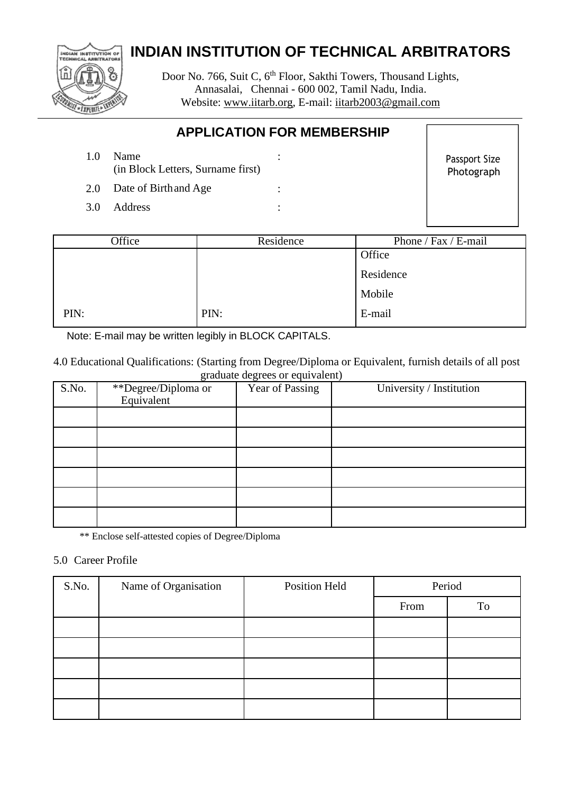# IAN INSTITUTION OF *EXPERIT*

# **INDIAN INSTITUTION OF TECHNICAL ARBITRATORS**

Door No. 766, Suit C, 6<sup>th</sup> Floor, Sakthi Towers, Thousand Lights, Annasalai, Chennai - 600 002, Tamil Nadu, India. Website: [www.iitarb.org,](http://www.iitarb.org/) E-mail: [iitarb2003@gmail.com](mailto:iitarb2003@gmail.com)

## **APPLICATION FOR MEMBERSHIP**

1.0 Name : (in Block Letters, Surname first)

Passport Size Photograph

- 2.0 Date of Birthand Age :
- 3.0 Address :

| Office | Residence | Phone / Fax / E-mail |  |
|--------|-----------|----------------------|--|
|        |           | Office               |  |
|        |           | Residence            |  |
|        |           | Mobile               |  |
| PIN:   | PIN:      | E-mail               |  |

Note: E-mail may be written legibly in BLOCK CAPITALS.

4.0 Educational Qualifications: (Starting from Degree/Diploma or Equivalent, furnish details of all post graduate degrees or equivalent)

| S.No. | $\overline{\phantom{0}}$<br>**Degree/Diploma or<br>Equivalent | Year of Passing | University / Institution |
|-------|---------------------------------------------------------------|-----------------|--------------------------|
|       |                                                               |                 |                          |
|       |                                                               |                 |                          |
|       |                                                               |                 |                          |
|       |                                                               |                 |                          |
|       |                                                               |                 |                          |
|       |                                                               |                 |                          |

\*\* Enclose self-attested copies of Degree/Diploma

## 5.0 Career Profile

| S.No. | Name of Organisation | <b>Position Held</b> | Period |    |
|-------|----------------------|----------------------|--------|----|
|       |                      |                      | From   | To |
|       |                      |                      |        |    |
|       |                      |                      |        |    |
|       |                      |                      |        |    |
|       |                      |                      |        |    |
|       |                      |                      |        |    |